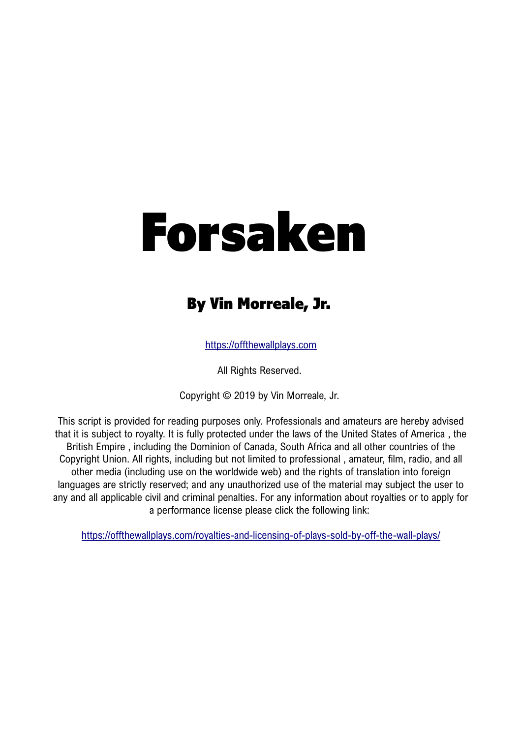## By Vin Morreale, Jr.

[https://offthewallplays.com](https://offthewallplays.com/)

All Rights Reserved.

Copyright © 2019 by Vin Morreale, Jr.

This script is provided for reading purposes only. Professionals and amateurs are hereby advised that it is subject to royalty. It is fully protected under the laws of the United States of America , the British Empire , including the Dominion of Canada, South Africa and all other countries of the Copyright Union. All rights, including but not limited to professional , amateur, film, radio, and all other media (including use on the worldwide web) and the rights of translation into foreign languages are strictly reserved; and any unauthorized use of the material may subject the user to any and all applicable civil and criminal penalties. For any information about royalties or to apply for a performance license please click the following link:

<https://offthewallplays.com/royalties-and-licensing-of-plays-sold-by-off-the-wall-plays/>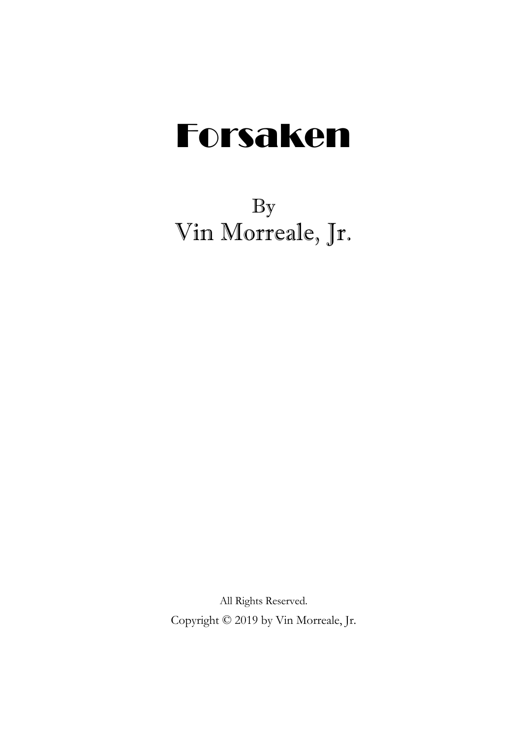By Vin Morreale, Jr.

All Rights Reserved. Copyright © 2019 by Vin Morreale, Jr.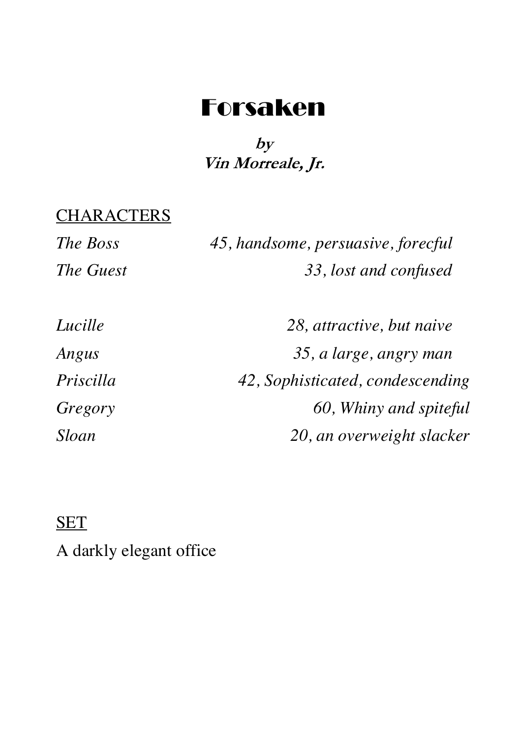### **by Vin Morreale, Jr.**

## **CHARACTERS**

| The Boss  | 45, handsome, persuasive, forecful |
|-----------|------------------------------------|
| The Guest | 33, lost and confused              |

| Lucille   | 28, attractive, but naive        |
|-----------|----------------------------------|
| Angus     | 35, a large, angry man           |
| Priscilla | 42, Sophisticated, condescending |
| Gregory   | 60, Whiny and spiteful           |
| Sloan     | 20, an overweight slacker        |

#### **SET**

A darkly elegant office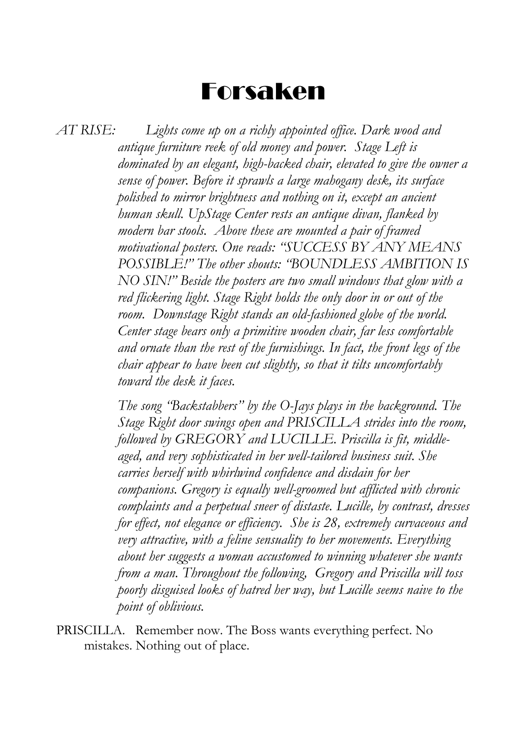*AT RISE: Lights come up on a richly appointed office. Dark wood and antique furniture reek of old money and power. Stage Left is dominated by an elegant, high-backed chair, elevated to give the owner a sense of power. Before it sprawls a large mahogany desk, its surface polished to mirror brightness and nothing on it, except an ancient human skull. UpStage Center rests an antique divan, flanked by modern bar stools. Above these are mounted a pair of framed motivational posters. One reads: "SUCCESS BY ANY MEANS POSSIBLE!" The other shouts: "BOUNDLESS AMBITION IS NO SIN!" Beside the posters are two small windows that glow with a red flickering light. Stage Right holds the only door in or out of the room. Downstage Right stands an old-fashioned globe of the world. Center stage bears only a primitive wooden chair, far less comfortable and ornate than the rest of the furnishings. In fact, the front legs of the chair appear to have been cut slightly, so that it tilts uncomfortably toward the desk it faces.*

> *The song "Backstabbers" by the O-Jays plays in the background. The Stage Right door swings open and PRISCILLA strides into the room, followed by GREGORY and LUCILLE. Priscilla is fit, middleaged, and very sophisticated in her well-tailored business suit. She carries herself with whirlwind confidence and disdain for her companions. Gregory is equally well-groomed but afflicted with chronic complaints and a perpetual sneer of distaste. Lucille, by contrast, dresses for effect, not elegance or efficiency. She is 28, extremely curvaceous and very attractive, with a feline sensuality to her movements. Everything about her suggests a woman accustomed to winning whatever she wants from a man. Throughout the following, Gregory and Priscilla will toss poorly disguised looks of hatred her way, but Lucille seems naive to the point of oblivious.*

PRISCILLA. Remember now. The Boss wants everything perfect. No mistakes. Nothing out of place.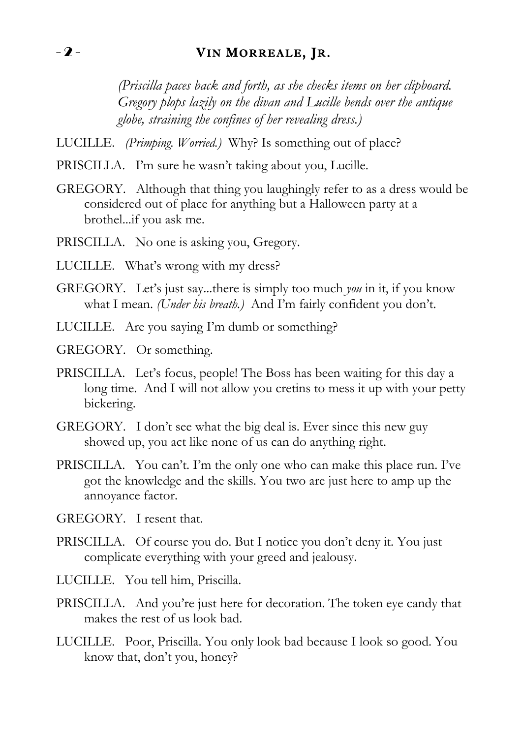#### $-2$  - VIN MORREALE, JR.

*(Priscilla paces back and forth, as she checks items on her clipboard. Gregory plops lazily on the divan and Lucille bends over the antique globe, straining the confines of her revealing dress.)*

- LUCILLE. *(Primping. Worried.)* Why? Is something out of place?
- PRISCILLA. I'm sure he wasn't taking about you, Lucille.
- GREGORY. Although that thing you laughingly refer to as a dress would be considered out of place for anything but a Halloween party at a brothel...if you ask me.
- PRISCILLA. No one is asking you, Gregory.
- LUCILLE. What's wrong with my dress?
- GREGORY. Let's just say...there is simply too much *you* in it, if you know what I mean. *(Under his breath.)* And I'm fairly confident you don't.
- LUCILLE. Are you saying I'm dumb or something?
- GREGORY. Or something.
- PRISCILLA. Let's focus, people! The Boss has been waiting for this day a long time. And I will not allow you cretins to mess it up with your petty bickering.
- GREGORY. I don't see what the big deal is. Ever since this new guy showed up, you act like none of us can do anything right.
- PRISCILLA. You can't. I'm the only one who can make this place run. I've got the knowledge and the skills. You two are just here to amp up the annoyance factor.
- GREGORY. I resent that.
- PRISCILLA. Of course you do. But I notice you don't deny it. You just complicate everything with your greed and jealousy.
- LUCILLE. You tell him, Priscilla.
- PRISCILLA. And you're just here for decoration. The token eye candy that makes the rest of us look bad.
- LUCILLE. Poor, Priscilla. You only look bad because I look so good. You know that, don't you, honey?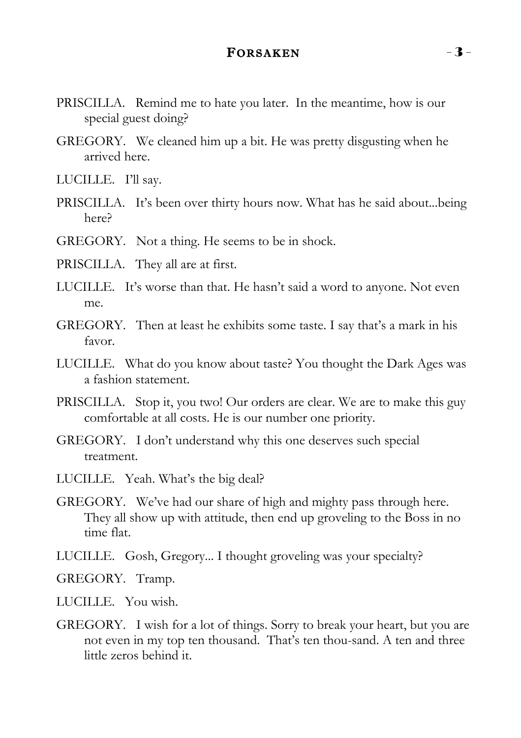#### FORSAKEN  $-3$  -

- PRISCILLA. Remind me to hate you later. In the meantime, how is our special guest doing?
- GREGORY. We cleaned him up a bit. He was pretty disgusting when he arrived here.
- LUCILLE. I'll say.
- PRISCILLA. It's been over thirty hours now. What has he said about...being here?
- GREGORY. Not a thing. He seems to be in shock.
- PRISCILLA. They all are at first.
- LUCILLE. It's worse than that. He hasn't said a word to anyone. Not even me.
- GREGORY. Then at least he exhibits some taste. I say that's a mark in his favor.
- LUCILLE. What do you know about taste? You thought the Dark Ages was a fashion statement.
- PRISCILLA. Stop it, you two! Our orders are clear. We are to make this guy comfortable at all costs. He is our number one priority.
- GREGORY. I don't understand why this one deserves such special treatment.
- LUCILLE. Yeah. What's the big deal?
- GREGORY. We've had our share of high and mighty pass through here. They all show up with attitude, then end up groveling to the Boss in no time flat.
- LUCILLE. Gosh, Gregory... I thought groveling was your specialty?

GREGORY. Tramp.

LUCILLE. You wish.

GREGORY. I wish for a lot of things. Sorry to break your heart, but you are not even in my top ten thousand. That's ten thou-sand. A ten and three little zeros behind it.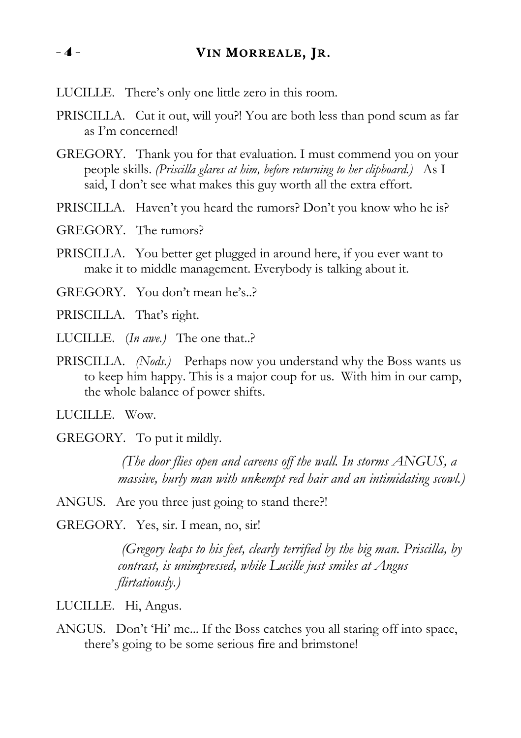#### $-4$  - VIN MORREALE, JR.

- LUCILLE. There's only one little zero in this room.
- PRISCILLA. Cut it out, will you?! You are both less than pond scum as far as I'm concerned!
- GREGORY. Thank you for that evaluation. I must commend you on your people skills. *(Priscilla glares at him, before returning to her clipboard.)* As I said, I don't see what makes this guy worth all the extra effort.
- PRISCILLA. Haven't you heard the rumors? Don't you know who he is?
- GREGORY. The rumors?
- PRISCILLA. You better get plugged in around here, if you ever want to make it to middle management. Everybody is talking about it.
- GREGORY. You don't mean he's..?
- PRISCILLA. That's right.
- LUCILLE. (*In awe.)* The one that..?
- PRISCILLA. *(Nods.)* Perhaps now you understand why the Boss wants us to keep him happy. This is a major coup for us. With him in our camp, the whole balance of power shifts.

LUCILLE. Wow.

GREGORY. To put it mildly.

*(The door flies open and careens off the wall. In storms ANGUS, a massive, burly man with unkempt red hair and an intimidating scowl.)*

ANGUS. Are you three just going to stand there?!

GREGORY. Yes, sir. I mean, no, sir!

*(Gregory leaps to his feet, clearly terrified by the big man. Priscilla, by contrast, is unimpressed, while Lucille just smiles at Angus flirtatiously.)*

LUCILLE. Hi, Angus.

ANGUS. Don't 'Hi' me... If the Boss catches you all staring off into space, there's going to be some serious fire and brimstone!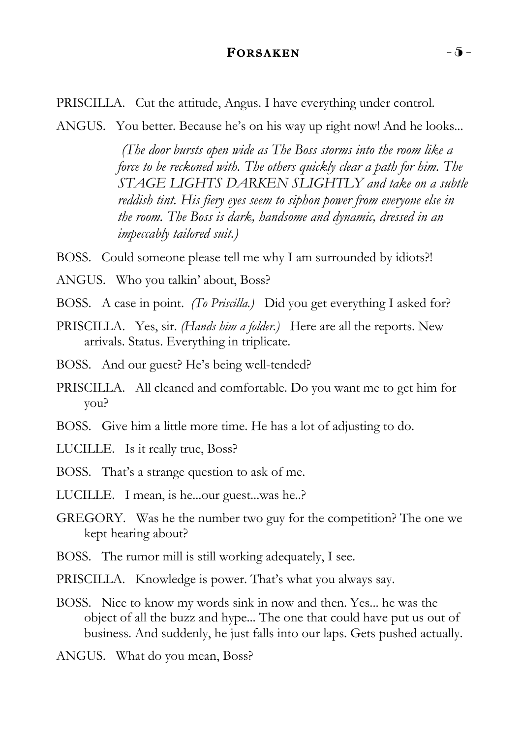#### FORSAKEN  $-\bar{0}$  -

PRISCILLA. Cut the attitude, Angus. I have everything under control.

ANGUS. You better. Because he's on his way up right now! And he looks...

*(The door bursts open wide as The Boss storms into the room like a force to be reckoned with. The others quickly clear a path for him. The STAGE LIGHTS DARKEN SLIGHTLY and take on a subtle reddish tint. His fiery eyes seem to siphon power from everyone else in the room. The Boss is dark, handsome and dynamic, dressed in an impeccably tailored suit.)*

BOSS. Could someone please tell me why I am surrounded by idiots?!

ANGUS. Who you talkin' about, Boss?

- BOSS. A case in point. *(To Priscilla.)* Did you get everything I asked for?
- PRISCILLA. Yes, sir. *(Hands him a folder.)* Here are all the reports. New arrivals. Status. Everything in triplicate.
- BOSS. And our guest? He's being well-tended?
- PRISCILLA. All cleaned and comfortable. Do you want me to get him for you?
- BOSS. Give him a little more time. He has a lot of adjusting to do.
- LUCILLE. Is it really true, Boss?
- BOSS. That's a strange question to ask of me.
- LUCILLE. I mean, is he...our guest...was he..?
- GREGORY. Was he the number two guy for the competition? The one we kept hearing about?
- BOSS. The rumor mill is still working adequately, I see.
- PRISCILLA. Knowledge is power. That's what you always say.
- BOSS. Nice to know my words sink in now and then. Yes... he was the object of all the buzz and hype... The one that could have put us out of business. And suddenly, he just falls into our laps. Gets pushed actually.

ANGUS. What do you mean, Boss?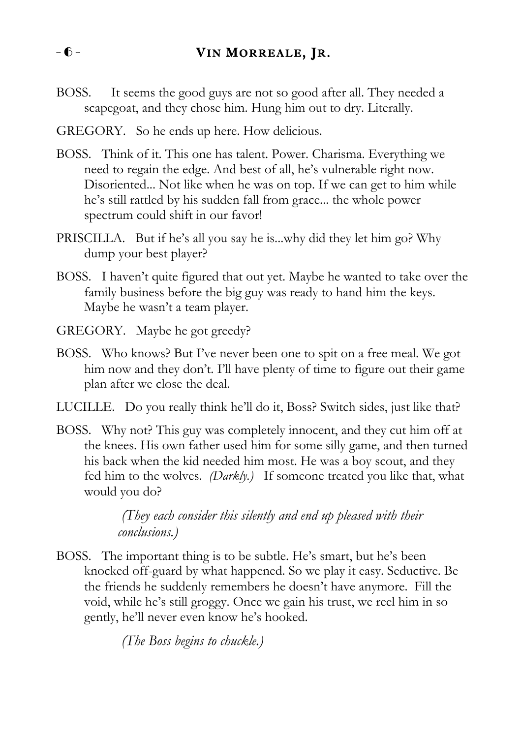BOSS. It seems the good guys are not so good after all. They needed a scapegoat, and they chose him. Hung him out to dry. Literally.

GREGORY. So he ends up here. How delicious.

- BOSS. Think of it. This one has talent. Power. Charisma. Everything we need to regain the edge. And best of all, he's vulnerable right now. Disoriented... Not like when he was on top. If we can get to him while he's still rattled by his sudden fall from grace... the whole power spectrum could shift in our favor!
- PRISCILLA. But if he's all you say he is...why did they let him go? Why dump your best player?
- BOSS. I haven't quite figured that out yet. Maybe he wanted to take over the family business before the big guy was ready to hand him the keys. Maybe he wasn't a team player.
- GREGORY. Maybe he got greedy?
- BOSS. Who knows? But I've never been one to spit on a free meal. We got him now and they don't. I'll have plenty of time to figure out their game plan after we close the deal.
- LUCILLE. Do you really think he'll do it, Boss? Switch sides, just like that?
- BOSS. Why not? This guy was completely innocent, and they cut him off at the knees. His own father used him for some silly game, and then turned his back when the kid needed him most. He was a boy scout, and they fed him to the wolves. *(Darkly.)* If someone treated you like that, what would you do?

*(They each consider this silently and end up pleased with their conclusions.)*

BOSS. The important thing is to be subtle. He's smart, but he's been knocked off-guard by what happened. So we play it easy. Seductive. Be the friends he suddenly remembers he doesn't have anymore. Fill the void, while he's still groggy. Once we gain his trust, we reel him in so gently, he'll never even know he's hooked.

*(The Boss begins to chuckle.)*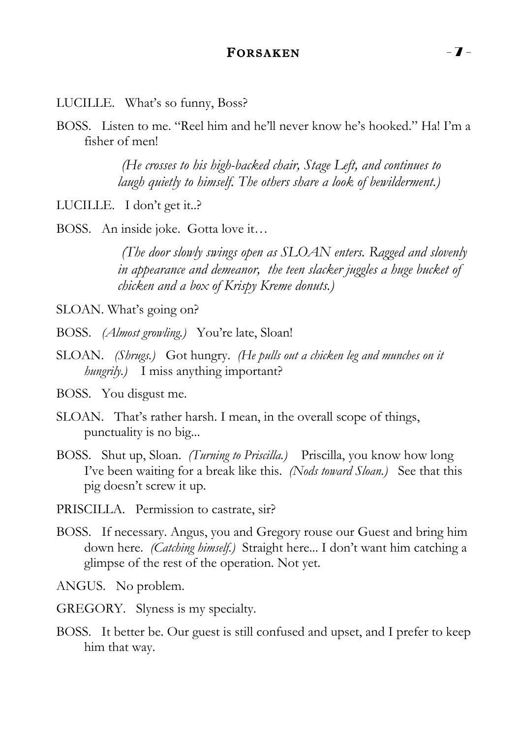#### FORSAKEN - 7 -

LUCILLE. What's so funny, Boss?

BOSS. Listen to me. "Reel him and he'll never know he's hooked." Ha! I'm a fisher of men!

> *(He crosses to his high-backed chair, Stage Left, and continues to laugh quietly to himself. The others share a look of bewilderment.)*

LUCILLE. I don't get it..?

BOSS. An inside joke. Gotta love it…

*(The door slowly swings open as SLOAN enters. Ragged and slovenly in appearance and demeanor, the teen slacker juggles a huge bucket of chicken and a box of Krispy Kreme donuts.)*

SLOAN. What's going on?

- BOSS. *(Almost growling.)* You're late, Sloan!
- SLOAN. *(Shrugs.)* Got hungry. *(He pulls out a chicken leg and munches on it hungrily.)* I miss anything important?
- BOSS. You disgust me.
- SLOAN. That's rather harsh. I mean, in the overall scope of things, punctuality is no big...
- BOSS. Shut up, Sloan. *(Turning to Priscilla.)* Priscilla, you know how long I've been waiting for a break like this. *(Nods toward Sloan.)* See that this pig doesn't screw it up.
- PRISCILLA. Permission to castrate, sir?
- BOSS. If necessary. Angus, you and Gregory rouse our Guest and bring him down here. *(Catching himself.)* Straight here... I don't want him catching a glimpse of the rest of the operation. Not yet.

ANGUS. No problem.

- GREGORY. Slyness is my specialty.
- BOSS. It better be. Our guest is still confused and upset, and I prefer to keep him that way.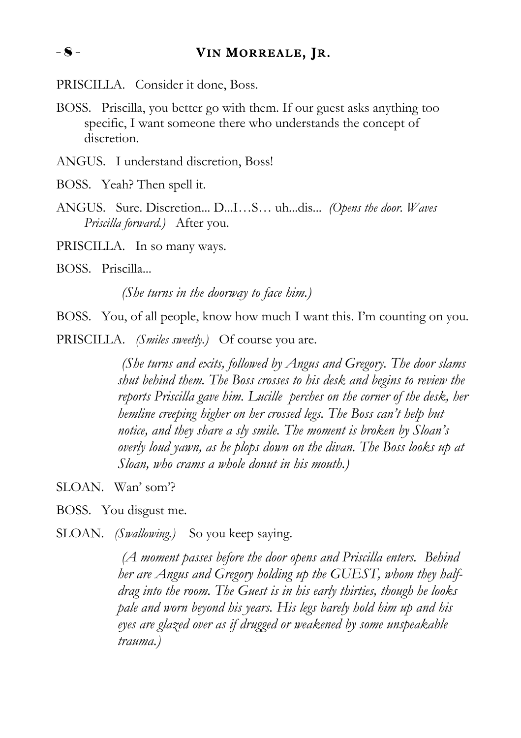PRISCILLA. Consider it done, Boss.

- BOSS. Priscilla, you better go with them. If our guest asks anything too specific, I want someone there who understands the concept of discretion.
- ANGUS. I understand discretion, Boss!
- BOSS. Yeah? Then spell it.
- ANGUS. Sure. Discretion... D...I…S… uh...dis... *(Opens the door. Waves Priscilla forward.)* After you.
- PRISCILLA. In so many ways.
- BOSS. Priscilla...

*(She turns in the doorway to face him.)*

BOSS. You, of all people, know how much I want this. I'm counting on you.

PRISCILLA. *(Smiles sweetly.)* Of course you are.

*(She turns and exits, followed by Angus and Gregory. The door slams shut behind them. The Boss crosses to his desk and begins to review the reports Priscilla gave him. Lucille perches on the corner of the desk, her hemline creeping higher on her crossed legs. The Boss can't help but notice, and they share a sly smile. The moment is broken by Sloan's overly loud yawn, as he plops down on the divan. The Boss looks up at Sloan, who crams a whole donut in his mouth.)*

SLOAN. Wan'som?

BOSS. You disgust me.

SLOAN. *(Swallowing.)* So you keep saying.

*(A moment passes before the door opens and Priscilla enters. Behind her are Angus and Gregory holding up the GUEST, whom they halfdrag into the room. The Guest is in his early thirties, though he looks pale and worn beyond his years. His legs barely hold him up and his eyes are glazed over as if drugged or weakened by some unspeakable trauma.)*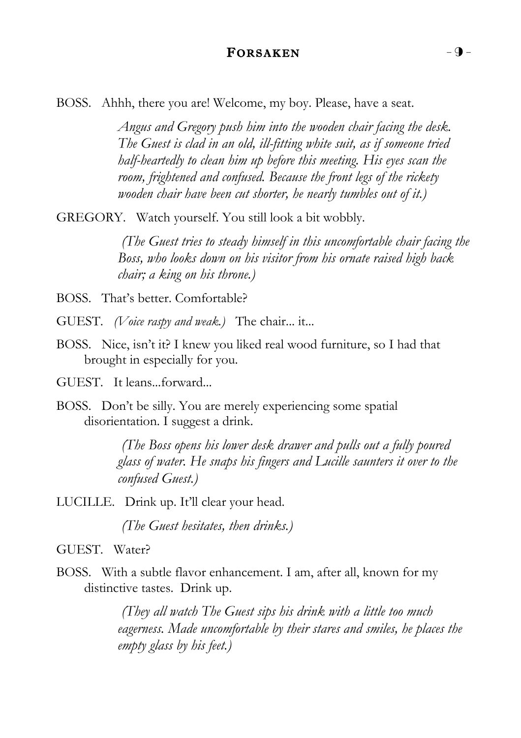#### FORSAKEN  $-9$  -

BOSS. Ahhh, there you are! Welcome, my boy. Please, have a seat.

*Angus and Gregory push him into the wooden chair facing the desk. The Guest is clad in an old, ill-fitting white suit, as if someone tried half-heartedly to clean him up before this meeting. His eyes scan the room, frightened and confused. Because the front legs of the rickety wooden chair have been cut shorter, he nearly tumbles out of it.)*

GREGORY. Watch yourself. You still look a bit wobbly.

*(The Guest tries to steady himself in this uncomfortable chair facing the Boss, who looks down on his visitor from his ornate raised high back chair; a king on his throne.)*

BOSS. That's better. Comfortable?

GUEST. *(Voice raspy and weak.)* The chair... it...

- BOSS. Nice, isn't it? I knew you liked real wood furniture, so I had that brought in especially for you.
- GUEST. It leans...forward...
- BOSS. Don't be silly. You are merely experiencing some spatial disorientation. I suggest a drink.

*(The Boss opens his lower desk drawer and pulls out a fully poured glass of water. He snaps his fingers and Lucille saunters it over to the confused Guest.)*

LUCILLE. Drink up. It'll clear your head.

*(The Guest hesitates, then drinks.)*

GUEST. Water?

BOSS. With a subtle flavor enhancement. I am, after all, known for my distinctive tastes. Drink up.

> *(They all watch The Guest sips his drink with a little too much eagerness. Made uncomfortable by their stares and smiles, he places the empty glass by his feet.)*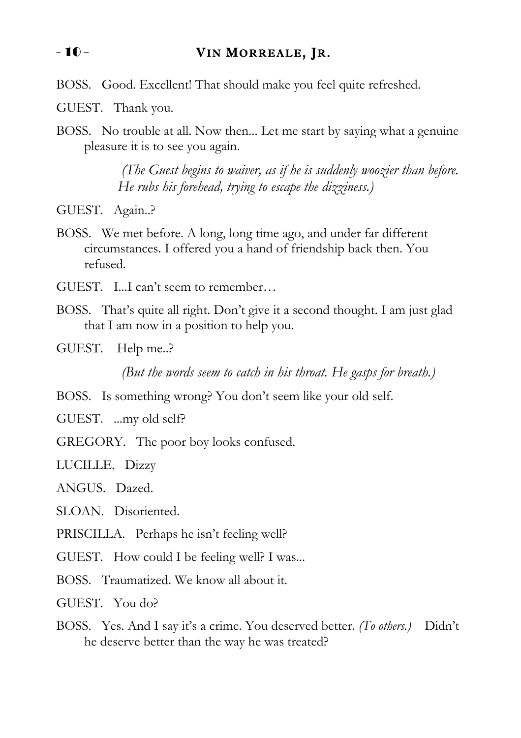#### - 10 - VIN MORREALE, JR.

BOSS. Good. Excellent! That should make you feel quite refreshed.

GUEST. Thank you.

BOSS. No trouble at all. Now then... Let me start by saying what a genuine pleasure it is to see you again.

> *(The Guest begins to waiver, as if he is suddenly woozier than before. He rubs his forehead, trying to escape the dizziness.)*

GUEST. Again..?

BOSS. We met before. A long, long time ago, and under far different circumstances. I offered you a hand of friendship back then. You refused.

GUEST. I...I can't seem to remember…

- BOSS. That's quite all right. Don't give it a second thought. I am just glad that I am now in a position to help you.
- GUEST. Help me..?

*(But the words seem to catch in his throat. He gasps for breath.)* 

BOSS. Is something wrong? You don't seem like your old self.

GUEST. ...my old self?

GREGORY. The poor boy looks confused.

LUCILLE. Dizzy

ANGUS. Dazed.

SLOAN. Disoriented.

PRISCILLA. Perhaps he isn't feeling well?

GUEST. How could I be feeling well? I was...

BOSS. Traumatized. We know all about it.

GUEST. You do?

BOSS. Yes. And I say it's a crime. You deserved better. *(To others.)* Didn't he deserve better than the way he was treated?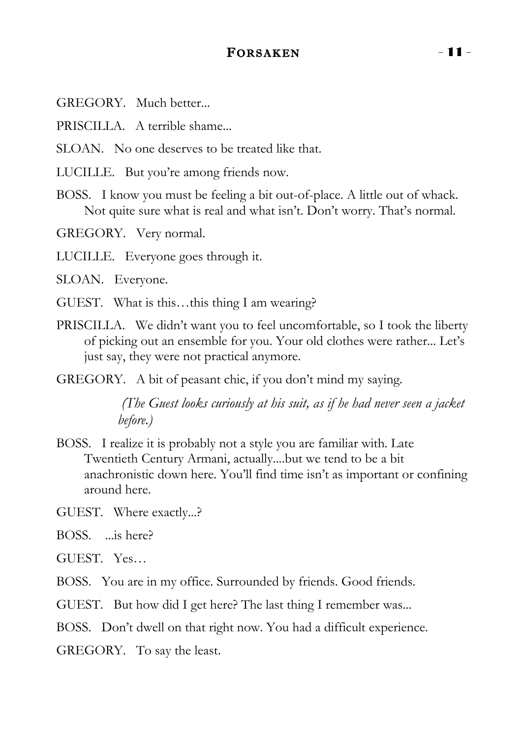#### FORSAKEN - 11 -

GREGORY. Much better...

PRISCILLA. A terrible shame...

SLOAN. No one deserves to be treated like that.

LUCILLE. But you're among friends now.

BOSS. I know you must be feeling a bit out-of-place. A little out of whack. Not quite sure what is real and what isn't. Don't worry. That's normal.

GREGORY. Very normal.

LUCILLE. Everyone goes through it.

SLOAN. Everyone.

GUEST. What is this…this thing I am wearing?

PRISCILLA. We didn't want you to feel uncomfortable, so I took the liberty of picking out an ensemble for you. Your old clothes were rather... Let's just say, they were not practical anymore.

GREGORY. A bit of peasant chic, if you don't mind my saying.

*(The Guest looks curiously at his suit, as if he had never seen a jacket before.)*

BOSS. I realize it is probably not a style you are familiar with. Late Twentieth Century Armani, actually....but we tend to be a bit anachronistic down here. You'll find time isn't as important or confining around here.

GUEST. Where exactly...?

BOSS. ...is here?

GUEST. Yes…

BOSS. You are in my office. Surrounded by friends. Good friends.

GUEST. But how did I get here? The last thing I remember was...

BOSS. Don't dwell on that right now. You had a difficult experience.

GREGORY. To say the least.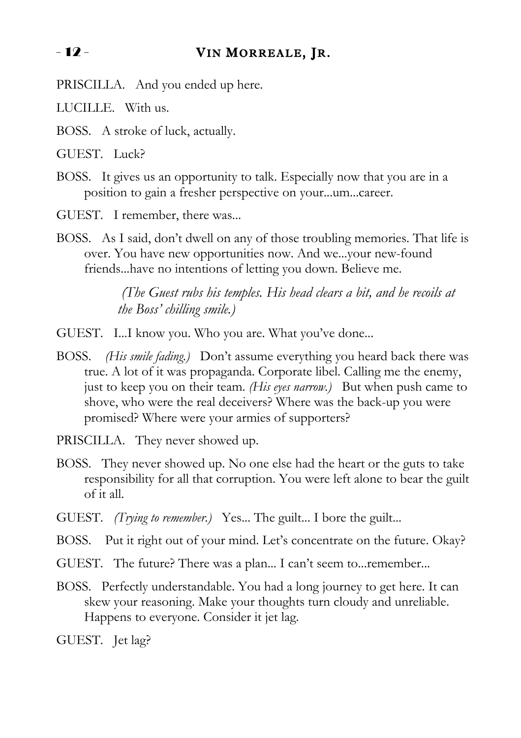#### - 12 - VIN MORREALE, JR.

- PRISCILLA. And you ended up here.
- LUCILLE. With us.
- BOSS. A stroke of luck, actually.
- GUEST. Luck?
- BOSS. It gives us an opportunity to talk. Especially now that you are in a position to gain a fresher perspective on your...um...career.
- GUEST. I remember, there was...
- BOSS. As I said, don't dwell on any of those troubling memories. That life is over. You have new opportunities now. And we...your new-found friends...have no intentions of letting you down. Believe me.

*(The Guest rubs his temples. His head clears a bit, and he recoils at the Boss' chilling smile.)*

- GUEST. I...I know you. Who you are. What you've done...
- BOSS. *(His smile fading.)* Don't assume everything you heard back there was true. A lot of it was propaganda. Corporate libel. Calling me the enemy, just to keep you on their team. *(His eyes narrow.)* But when push came to shove, who were the real deceivers? Where was the back-up you were promised? Where were your armies of supporters?

PRISCILLA. They never showed up.

- BOSS. They never showed up. No one else had the heart or the guts to take responsibility for all that corruption. You were left alone to bear the guilt of it all.
- GUEST. *(Trying to remember.)* Yes... The guilt... I bore the guilt...
- BOSS. Put it right out of your mind. Let's concentrate on the future. Okay?
- GUEST. The future? There was a plan... I can't seem to...remember...
- BOSS. Perfectly understandable. You had a long journey to get here. It can skew your reasoning. Make your thoughts turn cloudy and unreliable. Happens to everyone. Consider it jet lag.
- GUEST. Jet lag?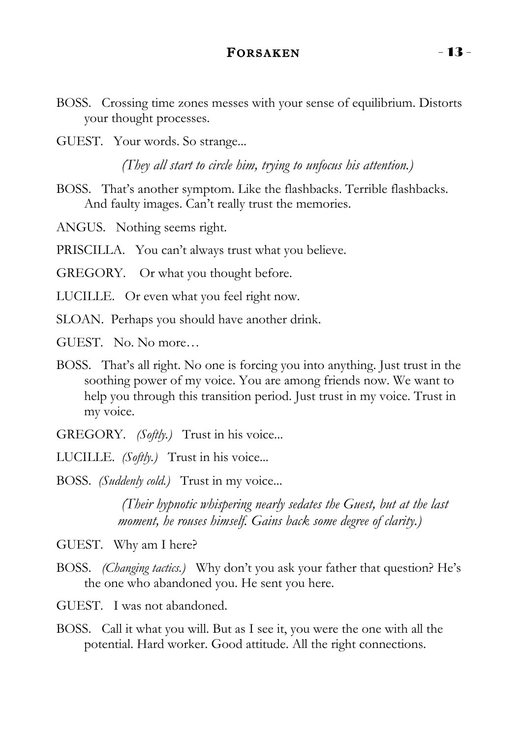#### FORSAKEN - 13 -

- BOSS. Crossing time zones messes with your sense of equilibrium. Distorts your thought processes.
- GUEST. Your words. So strange...

*(They all start to circle him, trying to unfocus his attention.)*

- BOSS. That's another symptom. Like the flashbacks. Terrible flashbacks. And faulty images. Can't really trust the memories.
- ANGUS. Nothing seems right.

PRISCILLA. You can't always trust what you believe.

GREGORY. Or what you thought before.

LUCILLE. Or even what you feel right now.

SLOAN. Perhaps you should have another drink.

GUEST. No. No more…

- BOSS. That's all right. No one is forcing you into anything. Just trust in the soothing power of my voice. You are among friends now. We want to help you through this transition period. Just trust in my voice. Trust in my voice.
- GREGORY. *(Softly.)* Trust in his voice...
- LUCILLE. *(Softly.)* Trust in his voice...
- BOSS. *(Suddenly cold.)* Trust in my voice...

*(Their hypnotic whispering nearly sedates the Guest, but at the last moment, he rouses himself. Gains back some degree of clarity.)*

GUEST. Why am I here?

BOSS. *(Changing tactics.)* Why don't you ask your father that question? He's the one who abandoned you. He sent you here.

GUEST. I was not abandoned.

BOSS. Call it what you will. But as I see it, you were the one with all the potential. Hard worker. Good attitude. All the right connections.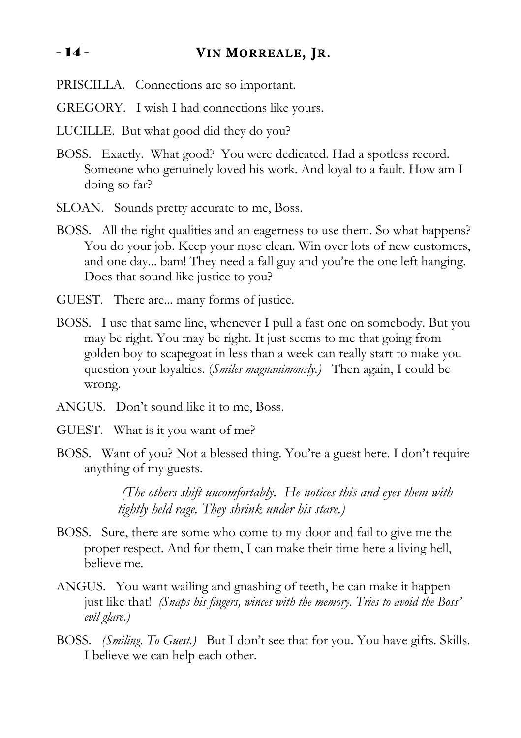#### - 14 - VIN MORREALE, JR.

- PRISCILLA. Connections are so important.
- GREGORY. I wish I had connections like yours.
- LUCILLE. But what good did they do you?
- BOSS. Exactly. What good? You were dedicated. Had a spotless record. Someone who genuinely loved his work. And loyal to a fault. How am I doing so far?
- SLOAN. Sounds pretty accurate to me, Boss.
- BOSS. All the right qualities and an eagerness to use them. So what happens? You do your job. Keep your nose clean. Win over lots of new customers, and one day... bam! They need a fall guy and you're the one left hanging. Does that sound like justice to you?
- GUEST. There are... many forms of justice.
- BOSS. I use that same line, whenever I pull a fast one on somebody. But you may be right. You may be right. It just seems to me that going from golden boy to scapegoat in less than a week can really start to make you question your loyalties. (*Smiles magnanimously.)* Then again, I could be wrong.
- ANGUS. Don't sound like it to me, Boss.
- GUEST. What is it you want of me?
- BOSS. Want of you? Not a blessed thing. You're a guest here. I don't require anything of my guests.

*(The others shift uncomfortably. He notices this and eyes them with tightly held rage. They shrink under his stare.)*

- BOSS. Sure, there are some who come to my door and fail to give me the proper respect. And for them, I can make their time here a living hell, believe me.
- ANGUS. You want wailing and gnashing of teeth, he can make it happen just like that! *(Snaps his fingers, winces with the memory. Tries to avoid the Boss' evil glare.)*
- BOSS. *(Smiling. To Guest.)* But I don't see that for you. You have gifts. Skills. I believe we can help each other.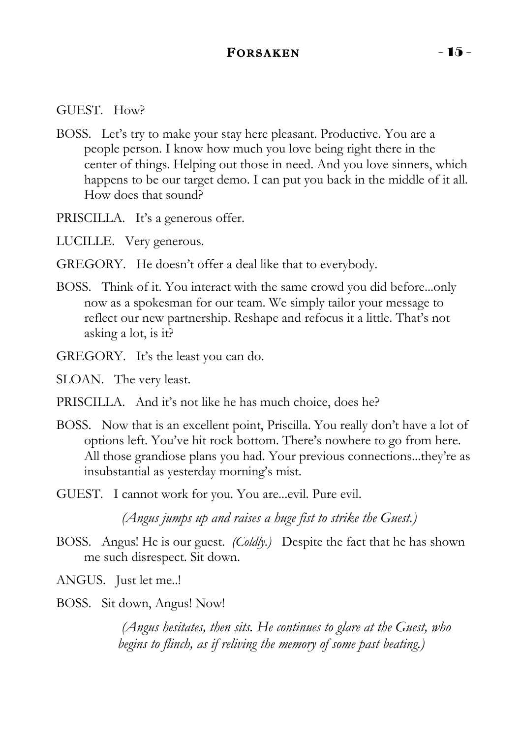#### FORSAKEN  $-15$  -

#### GUEST. How?

- BOSS. Let's try to make your stay here pleasant. Productive. You are a people person. I know how much you love being right there in the center of things. Helping out those in need. And you love sinners, which happens to be our target demo. I can put you back in the middle of it all. How does that sound?
- PRISCILLA. It's a generous offer.

LUCILLE. Very generous.

- GREGORY. He doesn't offer a deal like that to everybody.
- BOSS. Think of it. You interact with the same crowd you did before...only now as a spokesman for our team. We simply tailor your message to reflect our new partnership. Reshape and refocus it a little. That's not asking a lot, is it?
- GREGORY. It's the least you can do.

SLOAN. The very least.

PRISCILLA. And it's not like he has much choice, does he?

- BOSS. Now that is an excellent point, Priscilla. You really don't have a lot of options left. You've hit rock bottom. There's nowhere to go from here. All those grandiose plans you had. Your previous connections...they're as insubstantial as yesterday morning's mist.
- GUEST. I cannot work for you. You are...evil. Pure evil.

*(Angus jumps up and raises a huge fist to strike the Guest.)*

BOSS. Angus! He is our guest. *(Coldly.)* Despite the fact that he has shown me such disrespect. Sit down.

ANGUS. Just let me..!

BOSS. Sit down, Angus! Now!

*(Angus hesitates, then sits. He continues to glare at the Guest, who begins to flinch, as if reliving the memory of some past beating.)*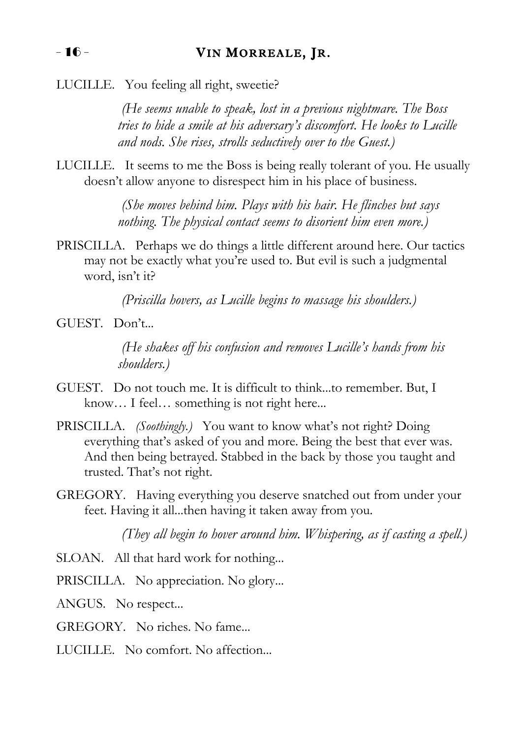LUCILLE. You feeling all right, sweetie?

*(He seems unable to speak, lost in a previous nightmare. The Boss tries to hide a smile at his adversary's discomfort. He looks to Lucille and nods. She rises, strolls seductively over to the Guest.)*

LUCILLE. It seems to me the Boss is being really tolerant of you. He usually doesn't allow anyone to disrespect him in his place of business.

> *(She moves behind him. Plays with his hair. He flinches but says nothing. The physical contact seems to disorient him even more.)*

PRISCILLA. Perhaps we do things a little different around here. Our tactics may not be exactly what you're used to. But evil is such a judgmental word, isn't it?

*(Priscilla hovers, as Lucille begins to massage his shoulders.)*

GUEST. Don't...

*(He shakes off his confusion and removes Lucille's hands from his shoulders.)*

- GUEST. Do not touch me. It is difficult to think...to remember. But, I know... I feel... something is not right here...
- PRISCILLA. *(Soothingly.)* You want to know what's not right? Doing everything that's asked of you and more. Being the best that ever was. And then being betrayed. Stabbed in the back by those you taught and trusted. That's not right.
- GREGORY. Having everything you deserve snatched out from under your feet. Having it all...then having it taken away from you.

*(They all begin to hover around him. Whispering, as if casting a spell.)*

SLOAN. All that hard work for nothing...

- PRISCILLA. No appreciation. No glory...
- ANGUS. No respect...
- GREGORY. No riches. No fame...
- LUCILLE. No comfort. No affection...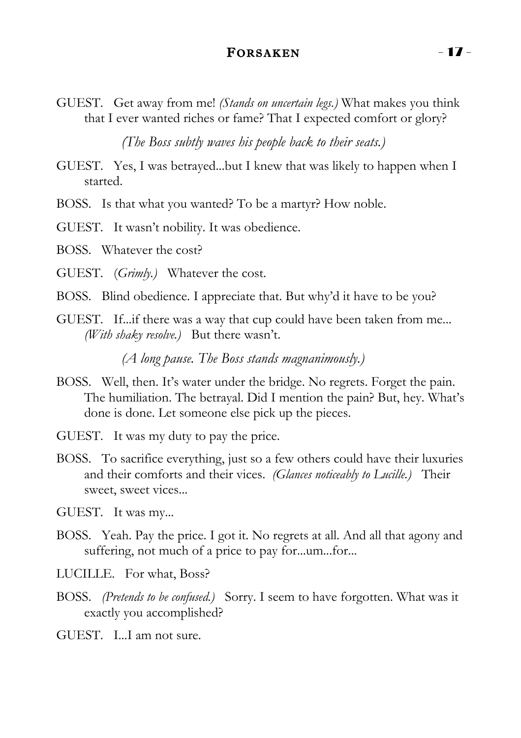#### FORSAKEN - 17 -

GUEST. Get away from me! *(Stands on uncertain legs.)* What makes you think that I ever wanted riches or fame? That I expected comfort or glory?

*(The Boss subtly waves his people back to their seats.)*

GUEST. Yes, I was betrayed...but I knew that was likely to happen when I started.

BOSS. Is that what you wanted? To be a martyr? How noble.

GUEST. It wasn't nobility. It was obedience.

BOSS. Whatever the cost?

GUEST. (*Grimly.)* Whatever the cost.

- BOSS. Blind obedience. I appreciate that. But why'd it have to be you?
- GUEST. If...if there was a way that cup could have been taken from me... *(With shaky resolve.)* But there wasn't.

*(A long pause. The Boss stands magnanimously.)*

- BOSS. Well, then. It's water under the bridge. No regrets. Forget the pain. The humiliation. The betrayal. Did I mention the pain? But, hey. What's done is done. Let someone else pick up the pieces.
- GUEST. It was my duty to pay the price.
- BOSS. To sacrifice everything, just so a few others could have their luxuries and their comforts and their vices. *(Glances noticeably to Lucille.)* Their sweet, sweet vices...

GUEST. It was my...

- BOSS. Yeah. Pay the price. I got it. No regrets at all. And all that agony and suffering, not much of a price to pay for...um...for...
- LUCILLE. For what, Boss?
- BOSS. *(Pretends to be confused.)* Sorry. I seem to have forgotten. What was it exactly you accomplished?

GUEST. I...I am not sure.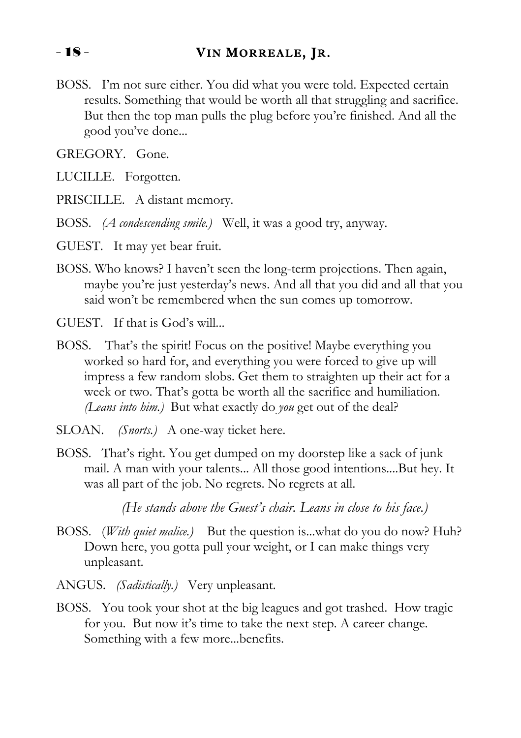#### - 18 - VIN MORREALE, JR.

BOSS. I'm not sure either. You did what you were told. Expected certain results. Something that would be worth all that struggling and sacrifice. But then the top man pulls the plug before you're finished. And all the good you've done...

GREGORY. Gone.

LUCILLE. Forgotten.

PRISCILLE. A distant memory.

BOSS. *(A condescending smile.)* Well, it was a good try, anyway.

GUEST. It may yet bear fruit.

BOSS. Who knows? I haven't seen the long-term projections. Then again, maybe you're just yesterday's news. And all that you did and all that you said won't be remembered when the sun comes up tomorrow.

GUEST. If that is God's will...

- BOSS. That's the spirit! Focus on the positive! Maybe everything you worked so hard for, and everything you were forced to give up will impress a few random slobs. Get them to straighten up their act for a week or two. That's gotta be worth all the sacrifice and humiliation. *(Leans into him.)* But what exactly do *you* get out of the deal?
- SLOAN. *(Snorts.)* A one-way ticket here.
- BOSS. That's right. You get dumped on my doorstep like a sack of junk mail. A man with your talents... All those good intentions....But hey. It was all part of the job. No regrets. No regrets at all.

*(He stands above the Guest's chair. Leans in close to his face.)* 

- BOSS. (*With quiet malice.)* But the question is...what do you do now? Huh? Down here, you gotta pull your weight, or I can make things very unpleasant.
- ANGUS. *(Sadistically.)* Very unpleasant.
- BOSS. You took your shot at the big leagues and got trashed. How tragic for you. But now it's time to take the next step. A career change. Something with a few more...benefits.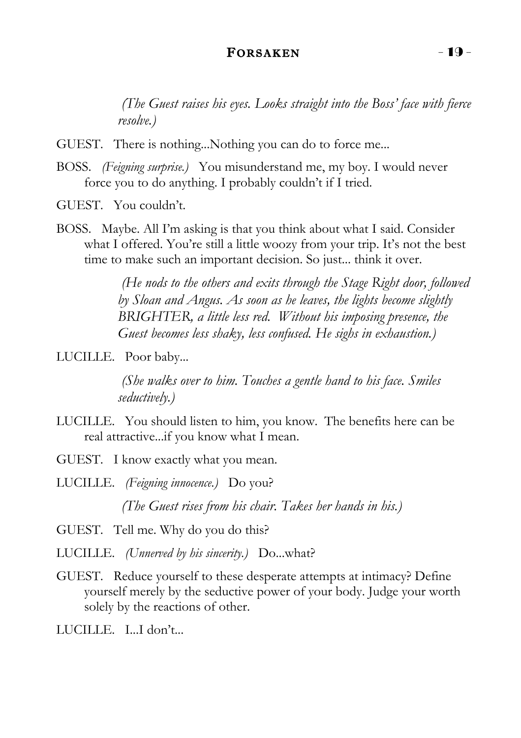#### $FORSAKEN$   $-19$  -

*(The Guest raises his eyes. Looks straight into the Boss' face with fierce resolve.)*

- GUEST. There is nothing...Nothing you can do to force me...
- BOSS. *(Feigning surprise.)* You misunderstand me, my boy. I would never force you to do anything. I probably couldn't if I tried.

GUEST. You couldn't.

BOSS. Maybe. All I'm asking is that you think about what I said. Consider what I offered. You're still a little woozy from your trip. It's not the best time to make such an important decision. So just... think it over.

> *(He nods to the others and exits through the Stage Right door, followed by Sloan and Angus. As soon as he leaves, the lights become slightly BRIGHTER, a little less red. Without his imposing presence, the Guest becomes less shaky, less confused. He sighs in exhaustion.)*

LUCILLE. Poor baby...

*(She walks over to him. Touches a gentle hand to his face. Smiles seductively.)* 

- LUCILLE. You should listen to him, you know. The benefits here can be real attractive...if you know what I mean.
- GUEST. I know exactly what you mean.
- LUCILLE. *(Feigning innocence.)* Do you? *(The Guest rises from his chair. Takes her hands in his.)*

GUEST. Tell me. Why do you do this?

- LUCILLE. *(Unnerved by his sincerity.)* Do...what?
- GUEST. Reduce yourself to these desperate attempts at intimacy? Define yourself merely by the seductive power of your body. Judge your worth solely by the reactions of other.
- LUCILLE. I...I don't...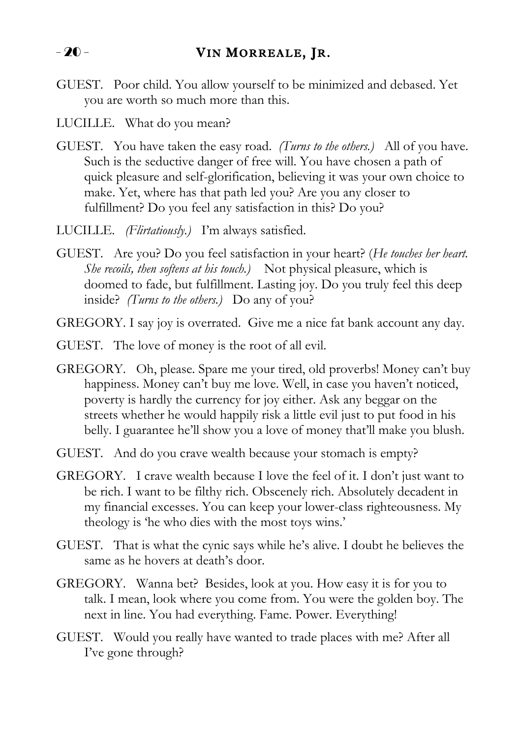GUEST. Poor child. You allow yourself to be minimized and debased. Yet you are worth so much more than this.

#### LUCILLE. What do you mean?

- GUEST. You have taken the easy road. *(Turns to the others.)* All of you have. Such is the seductive danger of free will. You have chosen a path of quick pleasure and self-glorification, believing it was your own choice to make. Yet, where has that path led you? Are you any closer to fulfillment? Do you feel any satisfaction in this? Do you?
- LUCILLE. *(Flirtatiously.)* I'm always satisfied.
- GUEST. Are you? Do you feel satisfaction in your heart? (*He touches her heart. She recoils, then softens at his touch.)* Not physical pleasure, which is doomed to fade, but fulfillment. Lasting joy. Do you truly feel this deep inside? *(Turns to the others.)* Do any of you?
- GREGORY. I say joy is overrated. Give me a nice fat bank account any day.
- GUEST. The love of money is the root of all evil.
- GREGORY. Oh, please. Spare me your tired, old proverbs! Money can't buy happiness. Money can't buy me love. Well, in case you haven't noticed, poverty is hardly the currency for joy either. Ask any beggar on the streets whether he would happily risk a little evil just to put food in his belly. I guarantee he'll show you a love of money that'll make you blush.
- GUEST. And do you crave wealth because your stomach is empty?
- GREGORY. I crave wealth because I love the feel of it. I don't just want to be rich. I want to be filthy rich. Obscenely rich. Absolutely decadent in my financial excesses. You can keep your lower-class righteousness. My theology is 'he who dies with the most toys wins.'
- GUEST. That is what the cynic says while he's alive. I doubt he believes the same as he hovers at death's door.
- GREGORY. Wanna bet? Besides, look at you. How easy it is for you to talk. I mean, look where you come from. You were the golden boy. The next in line. You had everything. Fame. Power. Everything!
- GUEST. Would you really have wanted to trade places with me? After all I've gone through?